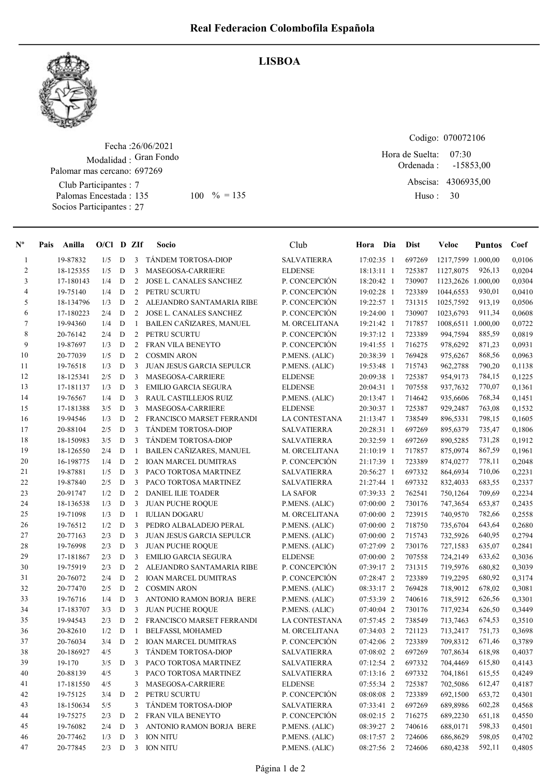

## Fecha : 26/06/2021 Modalidad : Gran Fondo Palomar mas cercano: 697269

Club Participantes : 7 Palomas Encestada : Socios Participantes : 27

## LISBOA

Codigo: 070072106

Ordenada : Abscisa: 4306935,00 Huso : 07:30 135 100 % = 135 Huso: 30 Hora de Suelta: -15853,00

| $N^{\circ}$    | Pais | Anilla    | $O/Cl$ D ZIf |           |                | Socio                            | Club                 | Hora Dia   | <b>Dist</b> | Veloc              | <b>Puntos</b> | Coef   |
|----------------|------|-----------|--------------|-----------|----------------|----------------------------------|----------------------|------------|-------------|--------------------|---------------|--------|
| $\mathbf{1}$   |      | 19-87832  | 1/5          | D         | 3              | TÁNDEM TORTOSA-DIOP              | <b>SALVATIERRA</b>   | 17:02:35 1 | 697269      | 1217,7599 1.000,00 |               | 0,0106 |
| $\overline{c}$ |      | 18-125355 | 1/5          | ${\bf D}$ | 3              | MASEGOSA-CARRIERE                | <b>ELDENSE</b>       | 18:13:11 1 | 725387      | 1127,8075          | 926,13        | 0,0204 |
| 3              |      | 17-180143 | 1/4          | D         | 2              | JOSE L. CANALES SANCHEZ          | P. CONCEPCIÓN        | 18:20:42 1 | 730907      | 1123,2626 1.000,00 |               | 0,0304 |
| 4              |      | 19-75140  | 1/4          | D         | 2              | PETRU SCURTU                     | P. CONCEPCIÓN        | 19:02:28 1 | 723389      | 1044,6553          | 930,01        | 0,0410 |
| 5              |      | 18-134796 | 1/3          | D         | 2              | ALEJANDRO SANTAMARIA RIBE        | P. CONCEPCIÓN        | 19:22:57 1 | 731315      | 1025,7592          | 913,19        | 0,0506 |
| 6              |      | 17-180223 | 2/4          | D         | $\overline{2}$ | JOSE L. CANALES SANCHEZ          | P. CONCEPCIÓN        | 19:24:00 1 | 730907      | 1023,6793          | 911,34        | 0,0608 |
| $\tau$         |      | 19-94360  | 1/4          | D         | -1             | <b>BAILEN CAÑIZARES, MANUEL</b>  | M. ORCELITANA        | 19:21:42 1 | 717857      | 1008,6511 1.000,00 |               | 0,0722 |
| 8              |      | 20-76142  | 2/4          | D         | 2              | PETRU SCURTU                     | P. CONCEPCIÓN        | 19:37:12 1 | 723389      | 994,7594           | 885,59        | 0,0819 |
| 9              |      | 19-87697  | 1/3          | D         | 2              | <b>FRAN VILA BENEYTO</b>         | P. CONCEPCIÓN        | 19:41:55 1 | 716275      | 978,6292           | 871,23        | 0,0931 |
| 10             |      | 20-77039  | 1/5          | D         | 2              | <b>COSMIN ARON</b>               | P.MENS. (ALIC)       | 20:38:39 1 | 769428      | 975,6267           | 868,56        | 0,0963 |
| 11             |      | 19-76518  | 1/3          | D         | 3              | <b>JUAN JESUS GARCIA SEPULCR</b> | P.MENS. (ALIC)       | 19:53:48 1 | 715743      | 962,2788           | 790,20        | 0,1138 |
| 12             |      | 18-125341 | 2/5          | D         | 3              | MASEGOSA-CARRIERE                | <b>ELDENSE</b>       | 20:09:38 1 | 725387      | 954,9173           | 784,15        | 0,1225 |
| 13             |      | 17-181137 | 1/3          | D         | 3              | <b>EMILIO GARCIA SEGURA</b>      | <b>ELDENSE</b>       | 20:04:31 1 | 707558      | 937,7632           | 770,07        | 0,1361 |
| 14             |      | 19-76567  | 1/4          | ${\bf D}$ | 3              | RAUL CASTILLEJOS RUIZ            | P.MENS. (ALIC)       | 20:13:47 1 | 714642      | 935,6606           | 768,34        | 0,1451 |
| 15             |      | 17-181388 | 3/5          | D         | 3              | MASEGOSA-CARRIERE                | <b>ELDENSE</b>       | 20:30:37 1 | 725387      | 929,2487           | 763,08        | 0,1532 |
| 16             |      | 19-94546  | 1/3          | D         | 2              | FRANCISCO MARSET FERRANDI        | <b>LA CONTESTANA</b> | 21:13:47 1 | 738549      | 896,5331           | 798,15        | 0,1605 |
| 17             |      | 20-88104  | 2/5          | D         | 3              | TÁNDEM TORTOSA-DIOP              | <b>SALVATIERRA</b>   | 20:28:31 1 | 697269      | 895,6379           | 735,47        | 0,1806 |
| 18             |      | 18-150983 | 3/5          | D         | 3              | <b>TÁNDEM TORTOSA-DIOP</b>       | <b>SALVATIERRA</b>   | 20:32:59 1 | 697269      | 890,5285           | 731,28        | 0,1912 |
| 19             |      | 18-126550 | 2/4          | D         | -1             | <b>BAILEN CAÑIZARES, MANUEL</b>  | M. ORCELITANA        | 21:10:19 1 | 717857      | 875,0974           | 867,59        | 0,1961 |
| 20             |      | 16-198775 | 1/4          | D         | 2              | <b>IOAN MARCEL DUMITRAS</b>      | P. CONCEPCIÓN        | 21:17:39 1 | 723389      | 874,0277           | 778,11        | 0,2048 |
| 21             |      | 19-87881  | 1/5          | D         | 3              | PACO TORTOSA MARTINEZ            | <b>SALVATIERRA</b>   | 20:56:27 1 | 697332      | 864,6934           | 710,06        | 0,2231 |
| $22\,$         |      | 19-87840  | 2/5          | D         | 3              | PACO TORTOSA MARTINEZ            | <b>SALVATIERRA</b>   | 21:27:44 1 | 697332      | 832,4033           | 683,55        | 0,2337 |
| 23             |      | 20-91747  | 1/2          | D         | 2              | <b>DANIEL ILIE TOADER</b>        | <b>LA SAFOR</b>      | 07:39:33 2 | 762541      | 750,1264           | 709,69        | 0,2234 |
| 24             |      | 18-136538 | 1/3          | D         | 3              | <b>JUAN PUCHE ROQUE</b>          | P.MENS. (ALIC)       | 07:00:00 2 | 730176      | 747,3654           | 653,87        | 0,2435 |
| 25             |      | 19-71098  | 1/3          | D         | -1             | <b>IULIAN DOGARU</b>             | M. ORCELITANA        | 07:00:00 2 | 723915      | 740,9570           | 782,66        | 0,2558 |
| 26             |      | 19-76512  | 1/2          | D         | 3              | PEDRO ALBALADEJO PERAL           | P.MENS. (ALIC)       | 07:00:00 2 | 718750      | 735,6704           | 643,64        | 0,2680 |
| 27             |      | 20-77163  | 2/3          | D         | 3              | JUAN JESUS GARCIA SEPULCR        | P.MENS. (ALIC)       | 07:00:00 2 | 715743      | 732,5926           | 640,95        | 0,2794 |
| 28             |      | 19-76998  | 2/3          | D         | 3              | <b>JUAN PUCHE ROQUE</b>          | P.MENS. (ALIC)       | 07:27:09 2 | 730176      | 727,1583           | 635,07        | 0,2841 |
| 29             |      | 17-181867 | 2/3          | D         | 3              | <b>EMILIO GARCIA SEGURA</b>      | <b>ELDENSE</b>       | 07:00:00 2 | 707558      | 724,2149           | 633,62        | 0,3036 |
| 30             |      | 19-75919  | 2/3          | D         | 2              | ALEJANDRO SANTAMARIA RIBE        | P. CONCEPCIÓN        | 07:39:17 2 | 731315      | 719,5976           | 680,82        | 0,3039 |
| 31             |      | 20-76072  | 2/4          | D         | $\overline{2}$ | <b>IOAN MARCEL DUMITRAS</b>      | P. CONCEPCIÓN        | 07:28:47 2 | 723389      | 719,2295           | 680,92        | 0,3174 |
| 32             |      | 20-77470  | 2/5          | D         | 2              | <b>COSMIN ARON</b>               | P.MENS. (ALIC)       | 08:33:17 2 | 769428      | 718,9012           | 678,02        | 0,3081 |
| 33             |      | 19-76716  | 1/4          | D         | 3              | ANTONIO RAMON BORJA BERE         | P.MENS. (ALIC)       | 07:53:39 2 | 740616      | 718,5912           | 626,56        | 0,3301 |
| 34             |      | 17-183707 | 3/3          | D         | 3              | <b>JUAN PUCHE ROQUE</b>          | P.MENS. (ALIC)       | 07:40:04 2 | 730176      | 717,9234           | 626,50        | 0,3449 |
| 35             |      | 19-94543  | 2/3          | D         | 2              | FRANCISCO MARSET FERRANDI        | <b>LA CONTESTANA</b> | 07:57:45 2 | 738549      | 713,7463           | 674,53        | 0,3510 |
| 36             |      | 20-82610  | 1/2          | D         | -1             | <b>BELFASSI, MOHAMED</b>         | M. ORCELITANA        | 07:34:03 2 | 721123      | 713,2417           | 751,73        | 0,3698 |
| 37             |      | 20-76034  | 3/4          | D         | 2              | <b>IOAN MARCEL DUMITRAS</b>      | P. CONCEPCIÓN        | 07:42:06 2 | 723389      | 709,8312           | 671,46        | 0,3789 |
| 38             |      | 20-186927 | 4/5          |           | 3              | TÁNDEM TORTOSA-DIOP              | <b>SALVATIERRA</b>   | 07:08:02 2 | 697269      | 707,8634           | 618,98        | 0,4037 |
| 39             |      | 19-170    | 3/5          | D         | 3              | PACO TORTOSA MARTINEZ            | <b>SALVATIERRA</b>   | 07:12:54 2 | 697332      | 704,4469           | 615,80        | 0,4143 |
| 40             |      | 20-88139  | 4/5          |           | 3              | PACO TORTOSA MARTINEZ            | <b>SALVATIERRA</b>   | 07:13:16 2 | 697332      | 704,1861           | 615,55        | 0,4249 |
| 41             |      | 17-181550 | 4/5          |           | 3              | MASEGOSA-CARRIERE                | <b>ELDENSE</b>       | 07:55:34 2 | 725387      | 702,5086           | 612,47        | 0,4187 |
| 42             |      | 19-75125  | 3/4          | D         | 2              | PETRU SCURTU                     | P. CONCEPCIÓN        | 08:08:08 2 | 723389      | 692,1500           | 653,72        | 0,4301 |
| 43             |      | 18-150634 | 5/5          |           | 3              | TÁNDEM TORTOSA-DIOP              | <b>SALVATIERRA</b>   | 07:33:41 2 | 697269      | 689,8986           | 602,28        | 0,4568 |
| 44             |      | 19-75275  | 2/3          | D         | 2              | FRAN VILA BENEYTO                | P. CONCEPCIÓN        | 08:02:15 2 | 716275      | 689,2230           | 651,18        | 0,4550 |
| 45             |      | 19-76082  | 2/4          | D         | 3              | ANTONIO RAMON BORJA BERE         | P.MENS. (ALIC)       | 08:39:27 2 | 740616      | 688,0171           | 598,33        | 0,4501 |
| 46             |      | 20-77462  | 1/3          | D         | 3              | <b>ION NITU</b>                  | P.MENS. (ALIC)       | 08:17:57 2 | 724606      | 686,8629           | 598,05        | 0,4702 |
| 47             |      | 20-77845  | $2/3$ D      |           | $\overline{3}$ | <b>ION NITU</b>                  | P.MENS. (ALIC)       | 08:27:56 2 | 724606      | 680,4238           | 592,11        | 0,4805 |
|                |      |           |              |           |                |                                  |                      |            |             |                    |               |        |